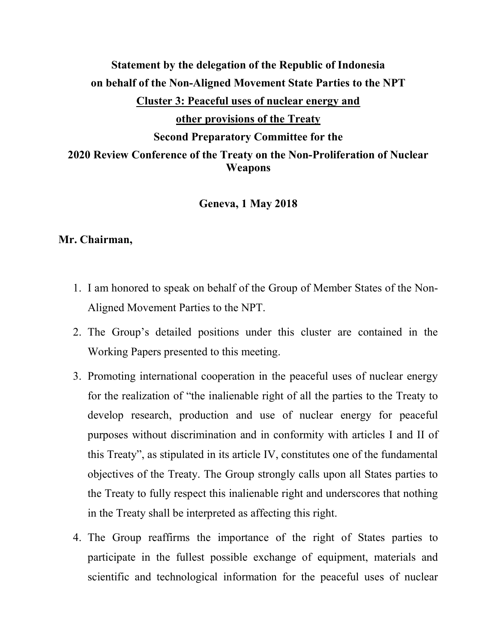## Statement by the delegation of the Republic of Indonesia on behalf of the Non-Aligned Movement State Parties to the NPT Cluster 3: Peaceful uses of nuclear energy and other provisions of the Treaty Second Preparatory Committee for the 2020 Review Conference of the Treaty on the Non-Proliferation of Nuclear Weapons

Geneva, 1 May 2018

## Mr. Chairman,

- 1. I am honored to speak on behalf of the Group of Member States of the Non-Aligned Movement Parties to the NPT.
- 2. The Group's detailed positions under this cluster are contained in the Working Papers presented to this meeting.
- 3. Promoting international cooperation in the peaceful uses of nuclear energy for the realization of "the inalienable right of all the parties to the Treaty to develop research, production and use of nuclear energy for peaceful purposes without discrimination and in conformity with articles I and II of this Treaty", as stipulated in its article IV, constitutes one of the fundamental objectives of the Treaty. The Group strongly calls upon all States parties to the Treaty to fully respect this inalienable right and underscores that nothing in the Treaty shall be interpreted as affecting this right.
- 4. The Group reaffirms the importance of the right of States parties to participate in the fullest possible exchange of equipment, materials and scientific and technological information for the peaceful uses of nuclear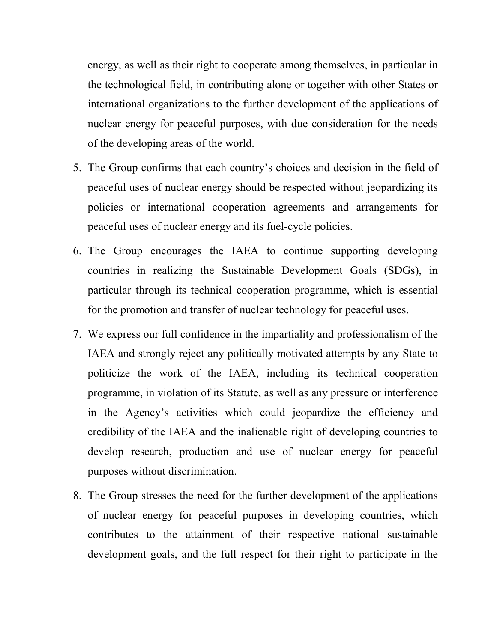energy, as well as their right to cooperate among themselves, in particular in the technological field, in contributing alone or together with other States or international organizations to the further development of the applications of nuclear energy for peaceful purposes, with due consideration for the needs of the developing areas of the world.

- 5. The Group confirms that each country's choices and decision in the field of peaceful uses of nuclear energy should be respected without jeopardizing its policies or international cooperation agreements and arrangements for peaceful uses of nuclear energy and its fuel-cycle policies.
- 6. The Group encourages the IAEA to continue supporting developing countries in realizing the Sustainable Development Goals (SDGs), in particular through its technical cooperation programme, which is essential for the promotion and transfer of nuclear technology for peaceful uses.
- 7. We express our full confidence in the impartiality and professionalism of the IAEA and strongly reject any politically motivated attempts by any State to politicize the work of the IAEA, including its technical cooperation programme, in violation of its Statute, as well as any pressure or interference in the Agency's activities which could jeopardize the efficiency and credibility of the IAEA and the inalienable right of developing countries to develop research, production and use of nuclear energy for peaceful purposes without discrimination.
- 8. The Group stresses the need for the further development of the applications of nuclear energy for peaceful purposes in developing countries, which contributes to the attainment of their respective national sustainable development goals, and the full respect for their right to participate in the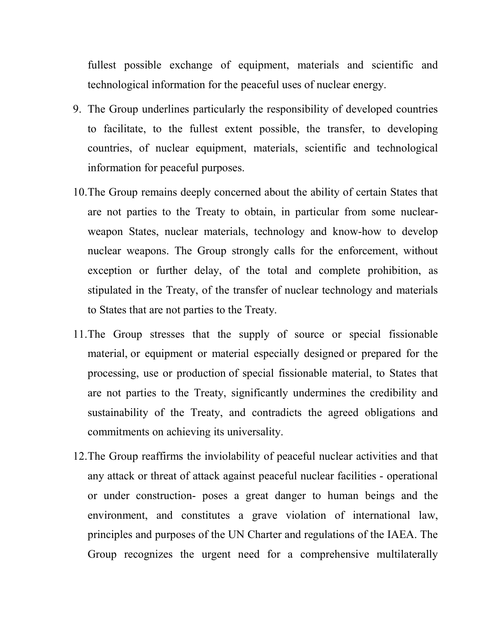fullest possible exchange of equipment, materials and scientific and technological information for the peaceful uses of nuclear energy.

- 9. The Group underlines particularly the responsibility of developed countries to facilitate, to the fullest extent possible, the transfer, to developing countries, of nuclear equipment, materials, scientific and technological information for peaceful purposes.
- 10.The Group remains deeply concerned about the ability of certain States that are not parties to the Treaty to obtain, in particular from some nuclearweapon States, nuclear materials, technology and know-how to develop nuclear weapons. The Group strongly calls for the enforcement, without exception or further delay, of the total and complete prohibition, as stipulated in the Treaty, of the transfer of nuclear technology and materials to States that are not parties to the Treaty.
- 11.The Group stresses that the supply of source or special fissionable material, or equipment or material especially designed or prepared for the processing, use or production of special fissionable material, to States that are not parties to the Treaty, significantly undermines the credibility and sustainability of the Treaty, and contradicts the agreed obligations and commitments on achieving its universality.
- 12.The Group reaffirms the inviolability of peaceful nuclear activities and that any attack or threat of attack against peaceful nuclear facilities - operational or under construction- poses a great danger to human beings and the environment, and constitutes a grave violation of international law, principles and purposes of the UN Charter and regulations of the IAEA. The Group recognizes the urgent need for a comprehensive multilaterally